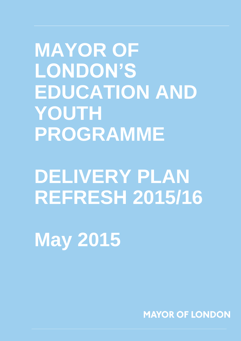**MAYOR OF LONDON'S EDUCATION AND YOUTH PROGRAMME**

# **DELIVERY PLAN REFRESH 2015/16**

**May 2015**

**MAYOR OF LONDON**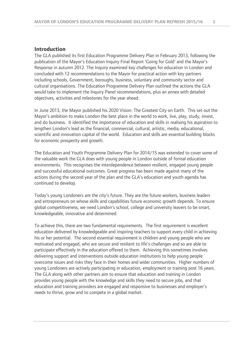#### **Introduction**

The GLA published its first Education Programme Delivery Plan in February 2013, following the publication of the Mayor's Education Inquiry Final Report 'Going for Gold' and the Mayor's Response in autumn 2012. The Inquiry examined key challenges for education in London and concluded with 12 recommendations to the Mayor for practical action with key partners including schools, Government, boroughs, business, voluntary and community sector and cultural organisations. The Education Programme Delivery Plan outlined the actions the GLA would take to implement the Inquiry Panel recommendations, plus an annex with detailed objectives, activities and milestones for the year ahead.

In June 2013, the Mayor published his 2020 Vision: The Greatest City on Earth. This set out the Mayor's ambition to make London the best place in the world to work, live, play, study, invest, and do business. It identified the importance of education and skills in realising his aspiration to lengthen London's lead as the financial, commercial, cultural, artistic, media, educational, scientific and innovation capital of the world. Education and skills are essential building blocks for economic prosperity and growth.

The Education and Youth Programme Delivery Plan for 2014/15 was extended to cover some of the valuable work the GLA does with young people in London outside of formal education environments. This recognises the interdependence between resilient, engaged young people and successful educational outcomes. Great progress has been made against many of the actions during the second year of the plan and the GLA's education and youth agenda has continued to develop.

Today's young Londoners are the city's future. They are the future workers, business leaders and entrepreneurs on whose skills and capabilities future economic growth depends. To ensure global competitiveness, we need London's school, college and university leavers to be smart, knowledgeable, innovative and determined.

To achieve this, there are two fundamental requirements. The first requirement is excellent education delivered by knowledgeable and inspiring teachers to support every child in achieving his or her potential. The second essential requirement is children and young people who are motivated and engaged, who are secure and resilient to life's challenges and so are able to participate effectively in the education offered to them. Achieving this sometimes involves delivering support and interventions outside education institutions to help young people overcome issues and risks they face in their homes and wider communities. Higher numbers of young Londoners are actively participating in education, employment or training post 16 years. The GLA along with other partners aim to ensure that education and training in London provides young people with the knowledge and skills they need to secure jobs, and that education and training providers are engaged and responsive to businesses and employer's needs to thrive, grow and to compete in a global market.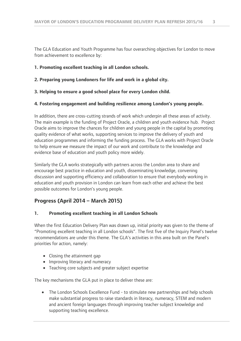The GLA Education and Youth Programme has four overarching objectives for London to move from achievement to excellence by:

#### **1. Promoting excellent teaching in all London schools.**

#### **2. Preparing young Londoners for life and work in a global city.**

**3. Helping to ensure a good school place for every London child.**

#### **4. Fostering engagement and building resilience among London's young people.**

In addition, there are cross-cutting strands of work which underpin all these areas of activity. The main example is the funding of Project Oracle, a children and youth evidence hub. Project Oracle aims to improve the chances for children and young people in the capital by promoting quality evidence of what works, supporting services to improve the delivery of youth and education programmes and informing the funding process. The GLA works with Project Oracle to help ensure we measure the impact of our work and contribute to the knowledge and evidence base of education and youth policy more widely.

Similarly the GLA works strategically with partners across the London area to share and encourage best practice in education and youth, disseminating knowledge, convening discussion and supporting efficiency and collaboration to ensure that everybody working in education and youth provision in London can learn from each other and achieve the best possible outcomes for London's young people.

### **Progress (April 2014 – March 2015)**

#### **1. Promoting excellent teaching in all London Schools**

When the first Education Delivery Plan was drawn up, initial priority was given to the theme of "Promoting excellent teaching in all London schools". The first five of the Inquiry Panel's twelve recommendations are under this theme. The GLA's activities in this area built on the Panel's priorities for action, namely:

- Closing the attainment gap
- Improving literacy and numeracy
- Teaching core subjects and greater subject expertise

The key mechanisms the GLA put in place to deliver these are:

• The London Schools Excellence Fund - to stimulate new partnerships and help schools make substantial progress to raise standards in literacy, numeracy, STEM and modern and ancient foreign languages through improving teacher subject knowledge and supporting teaching excellence.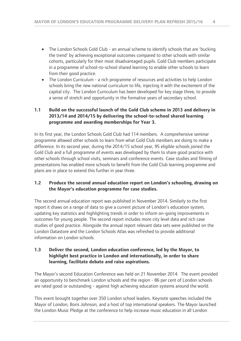- The London Schools Gold Club an annual scheme to identify schools that are 'bucking the trend' by achieving exceptional outcomes compared to other schools with similar cohorts, particularly for their most disadvantaged pupils. Gold Club members participate in a programme of school-to-school shared learning to enable other schools to learn from their good practice.
- The London Curriculum a rich programme of resources and activities to help London schools bring the new national curriculum to life, injecting it with the excitement of the capital city. The London Curriculum has been developed for key stage three, to provide a sense of stretch and opportunity in the formative years of secondary school.

#### **1.1 Build on the successful launch of the Gold Club scheme in 2013 and delivery in 2013/14 and 2014/15 by delivering the school-to-school shared learning programme and awarding memberships for Year 3.**

In its first year, the London Schools Gold Club had 114 members. A comprehensive seminar programme allowed other schools to learn from what Gold Club members are doing to make a difference. In its second year, during the 2014/15 school year, 95 eligible schools joined the Gold Club and a full programme of events was developed by them to share good practice with other schools through school visits, seminars and conference events. Case studies and filming of presentations has enabled more schools to benefit from the Gold Club learning programme and plans are in place to extend this further in year three.

#### **1.2 Produce the second annual education report on London's schooling, drawing on the Mayor's education programme for case studies.**

The second annual education report was published in November 2014. Similarly to the first report it draws on a range of data to give a current picture of London's education system, updating key statistics and highlighting trends in order to inform on-going improvements in outcomes for young people. The second report includes more city level data and rich case studies of good practice. Alongside the annual report relevant data sets were published on the London Datastore and the London Schools Atlas was refreshed to provide additional information on London schools.

#### **1.3 Deliver the second, London education conference, led by the Mayor, to highlight best practice in London and internationally, in order to share learning, facilitate debate and raise aspirations.**

The Mayor's second Education Conference was held on 21 November 2014. The event provided an opportunity to benchmark London schools and the region - 86 per cent of London schools are rated good or outstanding - against high achieving education systems around the world.

This event brought together over 350 London school leaders. Keynote speeches included the Mayor of London, Boris Johnson, and a host of top international speakers. The Mayor launched the London Music Pledge at the conference to help increase music education in all London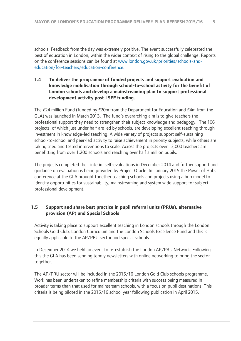schools. Feedback from the day was extremely positive. The event successfully celebrated the best of education in London, within the wider context of rising to the global challenge. Reports on the conference sessions can be found at [www.london.gov.uk/priorities/schools-and](http://www.london.gov.uk/priorities/schools-and-education/for-teachers/education-conference)[education/for-teachers/education-conference.](http://www.london.gov.uk/priorities/schools-and-education/for-teachers/education-conference)

#### **1.4 To deliver the programme of funded projects and support evaluation and knowledge mobilisation through school-to-school activity for the benefit of London schools and develop a mainstreaming plan to support professional development activity post LSEF funding.**

The £24 million Fund (funded by £20m from the Department for Education and £4m from the GLA) was launched in March 2013. The fund's overarching aim is to give teachers the professional support they need to strengthen their subject knowledge and pedagogy. The 106 projects, of which just under half are led by schools, are developing excellent teaching through investment in knowledge-led teaching. A wide variety of projects support self-sustaining school-to-school and peer-led activity to raise achievement in priority subjects, while others are taking tried and tested interventions to scale. Across the projects over 13,000 teachers are benefitting from over 1,200 schools and reaching over half a million pupils.

The projects completed their interim self-evaluations in December 2014 and further support and guidance on evaluation is being provided by Project Oracle. In January 2015 the Power of Hubs conference at the GLA brought together teaching schools and projects using a hub model to identify opportunities for sustainability, mainstreaming and system wide support for subject professional development.

#### **1.5 Support and share best practice in pupil referral units (PRUs), alternative provision (AP) and Special Schools**

Activity is taking place to support excellent teaching in London schools through the London Schools Gold Club, London Curriculum and the London Schools Excellence Fund and this is equally applicable to the AP/PRU sector and special schools.

In December 2014 we held an event to re-establish the London AP/PRU Network. Following this the GLA has been sending termly newsletters with online networking to bring the sector together.

The AP/PRU sector will be included in the 2015/16 London Gold Club schools programme. Work has been undertaken to refine membership criteria with success being measured in broader terms than that used for mainstream schools, with a focus on pupil destinations. This criteria is being piloted in the 2015/16 school year following publication in April 2015.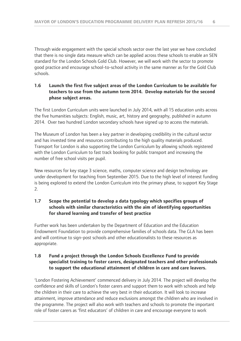Through wide engagement with the special schools sector over the last year we have concluded that there is no single data measure which can be applied across these schools to enable an SEN standard for the London Schools Gold Club. However, we will work with the sector to promote good practice and encourage school-to-school activity in the same manner as for the Gold Club schools.

#### **1.6 Launch the first five subject areas of the London Curriculum to be available for teachers to use from the autumn term 2014. Develop materials for the second phase subject areas.**

The first London Curriculum units were launched in July 2014, with all 15 education units across the five humanities subjects: English, music, art, history and geography, published in autumn 2014. Over two hundred London secondary schools have signed up to access the materials.

The Museum of London has been a key partner in developing credibility in the cultural sector and has invested time and resources contributing to the high quality materials produced. Transport for London is also supporting the London Curriculum by allowing schools registered with the London Curriculum to fast track booking for public transport and increasing the number of free school visits per pupil.

New resources for key stage 3 science, maths, computer science and design technology are under development for teaching from September 2015. Due to the high level of interest funding is being explored to extend the London Curriculum into the primary phase, to support Key Stage  $2.5$ 

#### **1.7 Scope the potential to develop a data typology which specifies groups of schools with similar characteristics with the aim of identifying opportunities for shared learning and transfer of best practice**

Further work has been undertaken by the Department of Education and the Education Endowment Foundation to provide comprehensive families of schools data. The GLA has been and will continue to sign-post schools and other educationalists to these resources as appropriate.

#### **1.8 Fund a project through the London Schools Excellence Fund to provide specialist training to foster carers, designated teachers and other professionals to support the educational attainment of children in care and care leavers.**

'London Fostering Achievement' commenced delivery in July 2014. The project will develop the confidence and skills of London's foster carers and support them to work with schools and help the children in their care to achieve the very best in their education. It will look to increase attainment, improve attendance and reduce exclusions amongst the children who are involved in the programme. The project will also work with teachers and schools to promote the important role of foster carers as 'first educators' of children in care and encourage everyone to work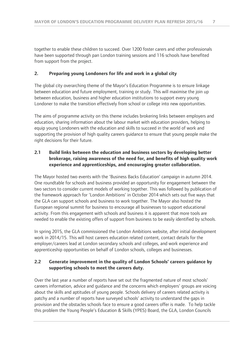together to enable these children to succeed. Over 1200 foster carers and other professionals have been supported through pan London training sessions and 116 schools have benefited from support from the project.

#### **2. Preparing young Londoners for life and work in a global city**

The global city overarching theme of the Mayor's Education Programme is to ensure linkage between education and future employment, training or study. This will maximise the join up between education, business and higher education institutions to support every young Londoner to make the transition effectively from school or college into new opportunities.

The aims of programme activity on this theme includes brokering links between employers and education, sharing information about the labour market with education providers, helping to equip young Londoners with the education and skills to succeed in the world of work and supporting the provision of high quality careers guidance to ensure that young people make the right decisions for their future.

#### **2.1 Build links between the education and business sectors by developing better brokerage, raising awareness of the need for, and benefits of high quality work experience and apprenticeships, and encouraging greater collaboration.**

The Mayor hosted two events with the 'Business Backs Education' campaign in autumn 2014. One roundtable for schools and business provided an opportunity for engagement between the two sectors to consider current models of working together. This was followed by publication of the framework approach for 'London Ambitions' in October 2014 which sets out five ways that the GLA can support schools and business to work together. The Mayor also hosted the European regional summit for business to encourage all businesses to support educational activity. From this engagement with schools and business it is apparent that more tools are needed to enable the existing offers of support from business to be easily identified by schools.

In spring 2015, the GLA commissioned the London Ambitions website, after initial development work in 2014/15. This will host careers education related content, contact details for the employer/careers lead at London secondary schools and colleges, and work experience and apprenticeship opportunities on behalf of London schools, colleges and businesses.

#### **2.2 Generate improvement in the quality of London Schools' careers guidance by supporting schools to meet the careers duty.**

Over the last year a number of reports have set out the fragmented nature of most schools' careers information, advice and guidance and the concerns which employers' groups are voicing about the skills and aptitudes of young people. Schools delivery of careers related activity is patchy and a number of reports have surveyed schools' activity to understand the gaps in provision and the obstacles schools face to ensure a good careers offer is made. To help tackle this problem the Young People's Education & Skills (YPES) Board, the GLA, London Councils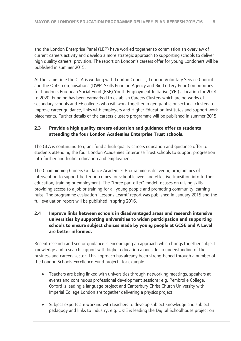and the London Enterprise Panel (LEP) have worked together to commission an overview of current careers activity and develop a more strategic approach to supporting schools to deliver high quality careers provision. The report on London's careers offer for young Londoners will be published in summer 2015.

At the same time the GLA is working with London Councils, London Voluntary Service Council and the Opt-In organisations (DWP, Skills Funding Agency and Big Lottery Fund) on priorities for London's European Social Fund (ESF) Youth Employment Initiative (YEI) allocation for 2014 to 2020. Funding has been earmarked to establish Careers Clusters which are networks of secondary schools and FE colleges who will work together in geographic or sectorial clusters to improve career guidance, links with employers and Higher Education Institutes and support work placements. Further details of the careers clusters programme will be published in summer 2015.

#### **2.3 Provide a high quality careers education and guidance offer to students attending the four London Academies Enterprise Trust schools.**

The GLA is continuing to grant fund a high quality careers education and guidance offer to students attending the four London Academies Enterprise Trust schools to support progression into further and higher education and employment.

The Championing Careers Guidance Academies Programme is delivering programmes of intervention to support better outcomes for school leavers and effective transition into further education, training or employment. The "three part offer" model focuses on raising skills, providing access to a job or training for all young people and promoting community learning hubs. The programme evaluation 'Lessons Learnt' report was published in January 2015 and the full evaluation report will be published in spring 2016.

#### **2.4 Improve links between schools in disadvantaged areas and research intensive universities by supporting universities to widen participation and supporting schools to ensure subject choices made by young people at GCSE and A Level are better informed.**

Recent research and sector guidance is encouraging an approach which brings together subject knowledge and research support with higher education alongside an understanding of the business and careers sector. This approach has already been strengthened through a number of the London Schools Excellence Fund projects for example

- Teachers are being linked with universities through networking meetings, speakers at events and continuous professional development sessions; e.g. Pembroke College, Oxford is leading a language project and Canterbury Christ Church University with Imperial College London are together delivering a physics project.
- Subject experts are working with teachers to develop subject knowledge and subject pedagogy and links to industry; e.g. UKIE is leading the Digital Schoolhouse project on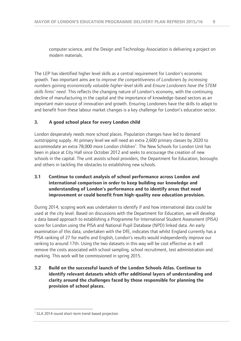computer science, and the Design and Technology Association is delivering a project on modern materials.

The LEP has identified higher level skills as a central requirement for London's economic growth. Two important aims are to *improve the competitiveness of Londoners by increasing numbers gaining economically valuable higher-level skills* and *Ensure Londoners have the STEM skills firms' need*. This reflects the changing nature of London's economy, with the continuing decline of manufacturing in the capital and the importance of knowledge-based sectors as an important main source of innovation and growth. Ensuring Londoners have the skills to adapt to and benefit from these labour market changes is a key challenge for London's education sector.

#### **3. A good school place for every London child**

London desperately needs more school places. Population changes have led to demand outstripping supply. At primary level we will need an extra 2,600 primary classes by 2020 to accommodate an extra 78,000 more London children<sup>1</sup>. The New Schools for London Unit has been in place at City Hall since October 2012 and seeks to encourage the creation of new schools in the capital. The unit assists school providers, the Department for Education, boroughs and others in tackling the obstacles to establishing new schools.

#### **3.1 Continue to conduct analysis of school performance across London and international comparison in order to keep building our knowledge and understanding of London's performance and to identify areas that need improvement or could benefit from high-quality new education provision.**

During 2014, scoping work was undertaken to identify if and how international data could be used at the city level. Based on discussions with the Department for Education, we will develop a data based approach to establishing a Programme for International Student Assessment (PISA) score for London using the PISA and National Pupil Database (NPD) linked data. An early examination of this data, undertaken with the DfE, indicates that whilst England currently has a PISA ranking of 27 for maths and English, London's results would independently improve our ranking to around 17th. Using the two datasets in this way will be cost effective as it will remove the costs associated with school sampling, school recruitment, test administration and marking. This work will be commissioned in spring 2015.

**3.2 Build on the successful launch of the London Schools Atlas. Continue to identify relevant datasets which offer additional layers of understanding and clarity around the challenges faced by those responsible for planning the provision of school places.**

 $\overline{a}$ <sup>1</sup> GLA 2014 round short-term trend-based projection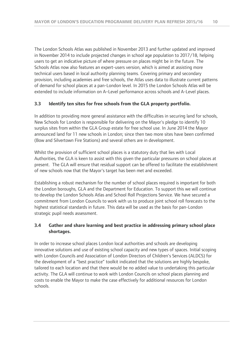The London Schools Atlas was published in November 2013 and further updated and improved in November 2014 to include projected changes in school age population to 2017/18, helping users to get an indicative picture of where pressure on places might be in the future. The Schools Atlas now also features an expert-users version, which is aimed at assisting more technical users based in local authority planning teams. Covering primary and secondary provision, including academies and free schools, the Atlas uses data to illustrate current patterns of demand for school places at a pan-London level. In 2015 the London Schools Atlas will be extended to include information on A–Level performance across schools and A-Level places.

#### **3.3 Identify ten sites for free schools from the GLA property portfolio.**

In addition to providing more general assistance with the difficulties in securing land for schools, New Schools for London is responsible for delivering on the Mayor's pledge to identify 10 surplus sites from within the GLA Group estate for free school use. In June 2014 the Mayor announced land for 11 new schools in London; since then two more sites have been confirmed (Bow and Silvertown Fire Stations) and several others are in development.

Whilst the provision of sufficient school places is a statutory duty that lies with Local Authorities, the GLA is keen to assist with this given the particular pressures on school places at present. The GLA will ensure that residual support can be offered to facilitate the establishment of new schools now that the Mayor's target has been met and exceeded.

Establishing a robust mechanism for the number of school places required is important for both the London boroughs, GLA and the Department for Education. To support this we will continue to develop the London Schools Atlas and School Roll Projections Service. We have secured a commitment from London Councils to work with us to produce joint school roll forecasts to the highest statistical standards in future. This data will be used as the basis for pan-London strategic pupil needs assessment.

#### **3.4 Gather and share learning and best practice in addressing primary school place shortages.**

In order to increase school places London local authorities and schools are developing innovative solutions and use of existing school capacity and new types of spaces. Initial scoping with London Councils and Association of London Directors of Children's Services (ALDCS) for the development of a "best practice" toolkit indicated that the solutions are highly bespoke, tailored to each location and that there would be no added value to undertaking this particular activity. The GLA will continue to work with London Councils on school places planning and costs to enable the Mayor to make the case effectively for additional resources for London schools.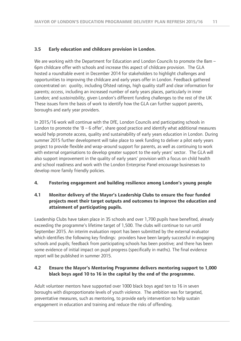#### **3.5 Early education and childcare provision in London.**

We are working with the Department for Education and London Councils to promote the 8am – 6pm childcare offer with schools and increase this aspect of childcare provision. The GLA hosted a roundtable event in December 2014 for stakeholders to highlight challenges and opportunities to improving the childcare and early years offer in London. Feedback gathered concentrated on: *quality*, including Ofsted ratings, high quality staff and clear information for parents; *access*, including an increased number of early years places, particularly in inner London; and *sustainability*, given London's different funding challenges to the rest of the UK These issues form the basis of work to identify how the GLA can further support parents, boroughs and early year providers.

In 2015/16 work will continue with the DfE, London Councils and participating schools in London to promote the ' $8 - 6$  offer', share good practice and identify what additional measures would help promote access, quality and sustainability of early years education in London. During summer 2015 further development will take place to seek funding to deliver a pilot early years project to provide flexible and wrap-around support for parents, as well as continuing to work with external organisations to develop greater support to the early years' sector. The GLA will also support improvement in the quality of early years' provision with a focus on child health and school readiness and work with the London Enterprise Panel encourage businesses to develop more family friendly policies.

#### **4. Fostering engagement and building resilience among London's young people**

#### **4.1 Monitor delivery of the Mayor's Leadership Clubs to ensure the four funded projects meet their target outputs and outcomes to improve the education and attainment of participating pupils.**

Leadership Clubs have taken place in 35 schools and over 1,700 pupils have benefited, already exceeding the programme's lifetime target of 1,500. The clubs will continue to run until September 2015. An interim evaluation report has been submitted by the external evaluator which identifies the following key findings: providers have been largely successful in engaging schools and pupils; feedback from participating schools has been positive; and there has been some evidence of initial impact on pupil progress (specifically in maths). The final evidence report will be published in summer 2015.

#### **4.2 Ensure the Mayor's Mentoring Programme delivers mentoring support to 1,000 black boys aged 10 to 16 in the capital by the end of the programme.**

Adult volunteer mentors have supported over 1000 black boys aged ten to 16 in seven boroughs with disproportionate levels of youth violence. The ambition was for targeted, preventative measures, such as mentoring, to provide early intervention to help sustain engagement in education and training and reduce the risks of offending.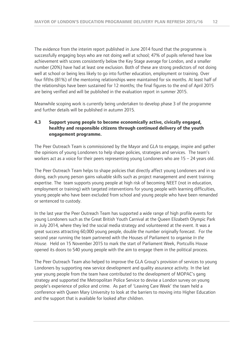The evidence from the interim report published in June 2014 found that the programme is successfully engaging boys who are not doing well at school; 47% of pupils referred have low achievement with scores consistently below the Key Stage average for London, and a smaller number (20%) have had at least one exclusion. Both of these are strong predictors of not doing well at school or being less likely to go into further education, employment or training. Over four fifths (81%) of the mentoring relationships were maintained for six months. At least half of the relationships have been sustained for 12 months; the final figures to the end of April 2015 are being verified and will be published in the evaluation report in summer 2015.

Meanwhile scoping work is currently being undertaken to develop phase 3 of the programme and further details will be published in autumn 2015.

#### **4.3 Support young people to become economically active, civically engaged, healthy and responsible citizens through continued delivery of the youth engagement programme.**

The Peer Outreach Team is commissioned by the Mayor and GLA to engage, inspire and gather the opinions of young Londoners to help shape policies, strategies and services. The team's workers act as a voice for their peers representing young Londoners who are 15 – 24 years old.

The Peer Outreach Team helps to shape policies that directly affect young Londoners and in so doing, each young person gains valuable skills such as project management and event training expertise. The team supports young people at high risk of becoming NEET (not in education, employment or training) with targeted interventions for young people with learning difficulties, young people who have been excluded from school and young people who have been remanded or sentenced to custody.

In the last year the Peer Outreach Team has supported a wide range of high profile events for young Londoners such as the Great British Youth Carnival at the Queen Elizabeth Olympic Park in July 2014, where they led the social media strategy and volunteered at the event. It was a great success attracting 60,000 young people, double the number originally forecast. For the second year running the team partnered with the Houses of Parliament to organise *In the House.* Held on 15 November 2015 to mark the start of Parliament Week, Portcullis House opened its doors to 540 young people with the aim to engage them in the political process.

The Peer Outreach Team also helped to improve the GLA Group's provision of services to young Londoners by supporting new service development and quality assurance activity. In the last year young people from the team have contributed to the development of MOPAC's gang strategy and supported the Metropolitan Police Service to devise a London survey on young people's experience of police and crime. As part of 'Leaving Care Week' the team held a conference with Queen Mary University to look at the barriers to moving into Higher Education and the support that is available for looked after children.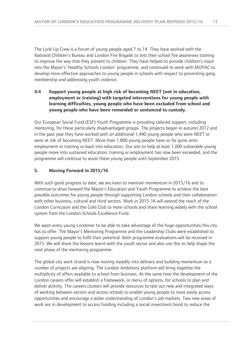The Lynk Up Crew is a forum of young people aged 7 to 14. They have worked with the National Children's Bureau and London Fire Brigade to test their school fire awareness training to improve the way that they present to children. They have helped to provide children's input into the Mayor's 'Healthy Schools London' programme, and continued to work with MOPAC to develop more effective approaches to young people in schools with respect to preventing gang membership and addressing youth violence.

#### **4.4 Support young people at high risk of becoming NEET (not in education, employment or training) with targeted interventions for young people with learning difficulties, young people who have been excluded from school and young people who have been remanded or sentenced to custody.**

Our European Social Fund (ESF) Youth Programme is providing tailored support, including mentoring, for these particularly disadvantaged groups. The projects began in autumn 2012 and in the past year they have worked with an additional 1,440 young people who were NEET or were at risk of becoming NEET. More than 1,800 young people have so far gone onto employment or training or back into education. Our aim to help at least 1,000 vulnerable young people move into sustained education, training or employment has now been exceeded, and the programme will continue to assist these young people until September 2015.

#### **5. Moving Forward in 2015/16**

With such good progress to date, we are keen to maintain momentum in 2015/16 and to continue to drive forward the Mayor's Education and Youth Programme to achieve the best possible outcomes for young people through supporting London schools and their collaboration with other business, cultural and third sectors. Work in 2015-16 will extend the reach of the London Curriculum and the Gold Club to more schools and share learning widely with the school system from the London Schools Excellence Fund.

We want every young Londoner to be able to take advantage of the huge opportunities this city has to offer. The Mayor's Mentoring Programme and the Leadership Clubs were established to support young people to fulfil their potential. Both programme evaluations will be received in 2015. We will share the lessons learnt with the youth sector and also use this to help shape the next phase of the mentoring programme.

The global city work strand is now moving steadily into delivery and building momentum as a number of projects are aligning. The London Ambitions platform will bring together the multiplicity of offers available to school from business. At the same time the development of the London careers offer will establish a framework, or menu of options, for schools to plan and deliver activity. The careers clusters will provide resources to test out new and integrated ways of working between sectors and across schools to enable young people to more easily access opportunities and encourage a wider understanding of London's job markets. Two new areas of work are in development to access funding including a social investment bond to reduce the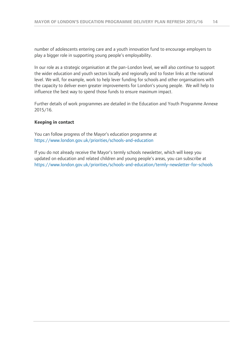number of adolescents entering care and a youth innovation fund to encourage employers to play a bigger role in supporting young people's employability.

In our role as a strategic organisation at the pan-London level, we will also continue to support the wider education and youth sectors locally and regionally and to foster links at the national level. We will, for example, work to help lever funding for schools and other organisations with the capacity to deliver even greater improvements for London's young people. We will help to influence the best way to spend those funds to ensure maximum impact.

Further details of work programmes are detailed in the Education and Youth Programme Annexe 2015/16.

#### **Keeping in contact**

You can follow progress of the Mayor's education programme at <https://www.london.gov.uk/priorities/schools-and-education>

If you do not already receive the Mayor's termly schools newsletter, which will keep you updated on education and related children and young people's areas, you can subscribe at <https://www.london.gov.uk/priorities/schools-and-education/termly-newsletter-for-schools>